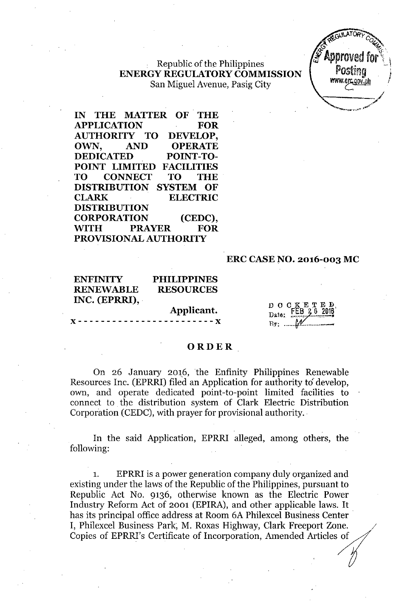Republic of the Philippines **ENERGY REGULATORYCOMMISSION** San Miguel Avenue, Pasig City

**IN THE MATTER OF THE APPLICATION FOR AUTHORITY TO DEVELOP, OWN, AND OPERATE DEDICATED POINT-TO-POINT LIMITED FACILITIES TO CONNECT TO THE DISTRIBUTION SYSTEM OF CLARK ELECTRIC DISTRIBUTION CORPORATION (CEDC), WITH PRAYER FOR PROVISIONAL AUTHORITY**

### **ERC CASE NO. 2016-003 MC**

### **ENFINITY PHILIPPINES RENEVVABLE RESOURCES INC. (EPRRI),**

**Applicant.** )( - - - - - - - - - - - - - - - - - - - - - - - - )( DOCKETE<br>Date: FEB 26 20  $FEB$  2.6  $B_y$ :  $M$ 

### **ORDER**

On 26 January 2016, the Enfinity Philippines Renewable Resources Inc. (EPRRI) filed an Application for authority to' develop, own, and operate dedicated point-to-point limited facilities to connect to the distribution system of Clark Electric Distribution Corporation (CEDC), with prayer for provisional authority.

In the said Application, EPRRI alleged, among others, the following:

EPRRI is a power generation company duly organized and existing under the laws of the Republic of the Philippines, pursuant to Republic Act No. 9136, otherwise known as the Electric Power Industry Reform Act of 2001 (EPIRA), and other applicable laws. It has its principal office address at Room 6A Philexcel Business Center . I, Philexcel Business Park, M. Roxas Highway, Clark Freeport Zone. Copies of EPRRI's Certificate of Incorporation, Amended Articles of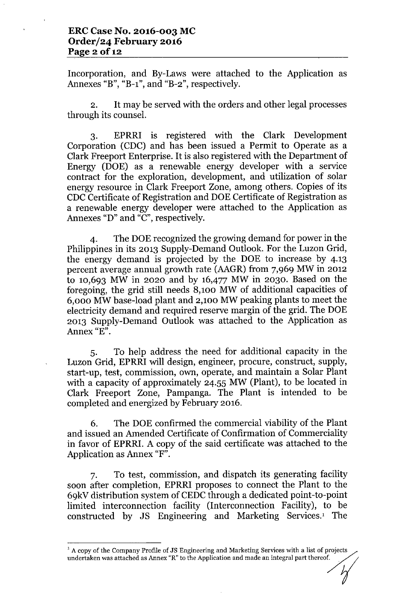Incorporation, and By-Laws were attached to the Application as Annexes "B", "B-1", and "B-2", respectively.

2. It may be served with the orders and other legal processes through its counsel.

3. EPRRI is registered with the Clark Development Corporation (CDC) and has been issued a Permit to Operate as a Clark Freeport Enterprise. It is also registered with the Department of Energy (DOE) as a renewable energy developer with a service contract for the exploration, development, and utilization of solar energy resource in Clark Freeport Zone, among others. Copies of its CDC Certificate of Registration and DOE Certificate of Registration as a renewable energy developer were attached to the Application as Annexes "D" and "C", respectively.

4. The DOE recognized the growing demand for power in the Philippines in its 2013 Supply-Demand Outlook. For the Luzon Grid, the energy demand is projected by the DOE to increase by 4.13 percent average annual growth rate (AAGR) from 7,969 MW in 2012 to 10,693 MW in 2020 and by 16,477 MW in 2030. Based on the foregoing, the grid still needs 8,100 MW of additional capacities of 6,000 MW base-load plant and 2,100 MW peaking plants to meet the electricity demand and required reserve margin of the grid. The DOE 2013 Supply-Demand Outlook was attached to the Application as Annex "E".

5. To help address the need for additional capacity in the Luzon Grid, EPRRI will design, engineer, procure, construct, supply, start-up, test, commission, own, operate, and maintain a Solar Plant with a capacity of approximately 24.55 MW (Plant), to be located in Clark Freeport Zone, Pampanga. The Plant is intended to be completed and energized by February 2016.

6. The DOE confirmed the commercial viability of the Plant and issued an Amended Certificate of Confirmation of Commerciality in favor of EPRRI. A copy of the said certificate was attached to the Application as Annex "F".

7. To test, commission, and dispatch its generating facility soon after completion, EPRRI proposes to connect the Plant to the 69kV distribution system of CEDC through a dedicated point-to-point limited interconnection facility (Interconnection Facility), to be constructed by JS Engineering and Marketing Services.1 The

 $1$  A copy of the Company Profile of JS Engineering and Marketing Services with a list of projects undertaken was attached as Annex "R" to the Application and made an integral part thereof.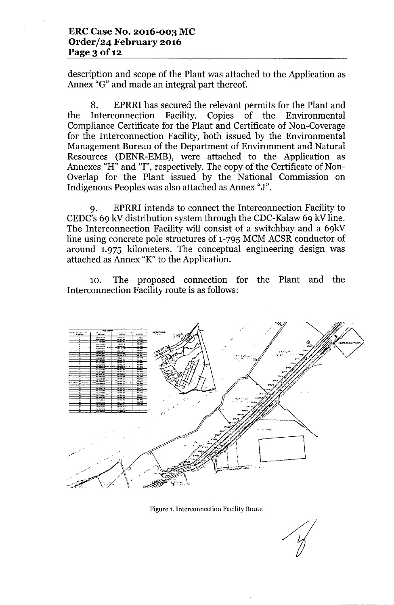description and scope of the Plant was attached to the Application as Annex "G" and made an integral part thereof.

8. EPRRI has secured the relevant permits for the Plant and the Interconnection Facility. Copies of the Environmental Compliance Certificate for the Plant and Certificate of Non-Coverage for the Interconnection Facility, both issued by the Environmental Management Bureau of the Department of Environment and Natural Resources (DENR-EMB), were attached to the Application as Annexes "H" and "I", respectively. The copy of the Certificate of Non-Overlap for the Plant issued by the National Commission on Indigenous Peoples was also attached as Annex "J".

9. EPRRI intends to connect the Interconnection Facility to CEDC's 69 kV distribution system through the CDC-Kalaw 69 kV line. The Interconnection Facility will consist of a switchbay and a 69kV line using concrete pole structures of 1-795 MCM ACSR conductor of around 1.975 kilometers. The conceptual engineering design was attached as Annex "K" to the Application.

10. The proposed connection for the Plant and the Interconnection Facility route is as follows:



Figure 1.Interconnection Facility Route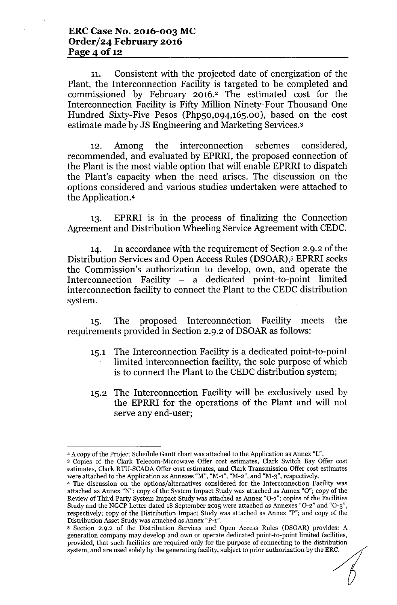11. Consistent with the projected date of energization of the Plant, the Interconnection Facility is targeted to be completed and commissioned by February 2016.<sup>2</sup> The estimated cost for the Interconnection Facility is Fifty Million Ninety-Four Thousand One Hundred Sixty-Five Pesos (Php50,094,165.00), based on the cost estimate made by JS Engineering and Marketing Services.3

12. Among the interconnection schemes considered, recommended, and evaluated by EPRRI, the proposed connection of the Plant is the most viable option that will enable EPRRI to dispatch the Plant's capacity when the need arises. The discussion on the options considered and various studies undertaken were attached to the Application.<sup>4</sup>

13. EPRRI is in the process of finalizing the Connection Agreement and Distribution Wheeling Service Agreement with CEDC.

14. In accordance with the requirement of Section 2.9.2 of the Distribution Services and Open Access Rules (DSOAR),5EPRRI seeks the Commission's authorization to develop, own, and operate the Interconnection Facility  $-$  a dedicated point-to-point limited interconnection facility to connect the Plant to the CEDC distribution system.

15. The proposed Interconnection Facility meets the requirements provided in Section 2.9.2 of DSOAR as follows:

- 15.1 The Interconnection Facility is a dedicated point-to-point limited interconnection facility, the sole purpose of which is to connect the Plant to the CEDC distribution system;
- 15.2 The Interconnection Facility will be exclusively used by the EPRRI for the operations of the Plant and will not serve any end-user;

<sup>&</sup>lt;sup>2</sup> A copy of the Project Schedule Gantt chart was attached to the Application as Annex "L". <sup>3</sup> Copies of the Clark Telecom-Microwave Offer cost estimates, Clark Switch Bay Offer cost estimates, Clark RTU-SCADA Offer cost estimates, and Clark Transmission Offer cost estimates were attached to the Application as Annexes "M", "M-1", "M-2", and "M-3", respectively.

<sup>4</sup> The discussion on the options/alternatives considered for the Interconnection Facility was attached as Annex "N"; copy of the System Impact Study was attached as Annex "0"; copy of the Review of Third Party System Impact Study was attached as Annex "0-1"; copies of the Facilities Study and the NGCP Letter dated 18 September 2015 were attached as Annexes "0-2" and "0-3", respectively; copy of the Distribution Impact Study was attached as Annex "P"; and copy of the Distribution Asset Study was attached as Annex "P-1".

<sup>5</sup> Section 2.9.2 of the Distribution Services and Open Access Rules (DSOAR) provides: A generation company may develop and own or operate dedicated point-to-point limited facilities, provided, that such facilities are required only for the purpose of connecting to the distribution system, and are used solely by the generating facility, subject to prior authorization by the ERC.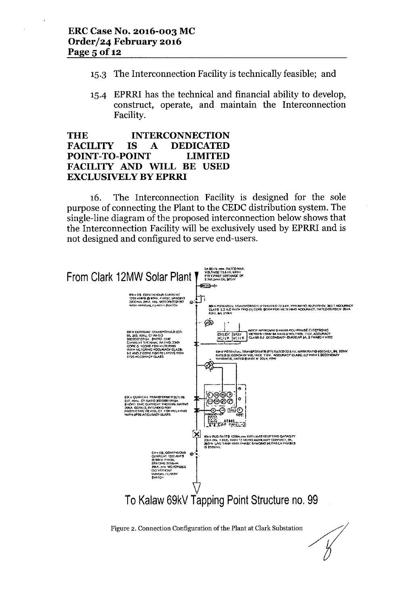- 15.3 The Interconnection Facility is technically feasible; and
- 15-4 EPRRI has the technical and financial ability to develop, construct, operate, and maintain the Interconnection Facility.

### INTERCONNECTION DEDICATED THE FACILITY IS A POINT-TO-POINT LIMITED FACILITY AND WILL BE USED EXCLUSIVELY BY EPRRI

16. The Interconnection Facility is designed for the sole purpose of connecting the Plant to the CEDC distribution system. The single-line diagram of the proposed interconnection below shows that the Interconnection Facility will be exclusively used by EPRRI and is not designed and configured to serve end-users.

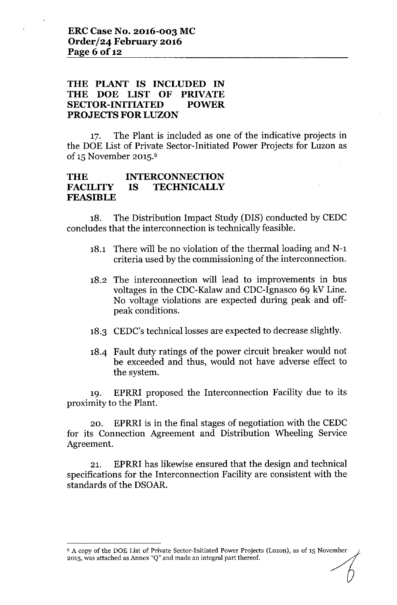# **THE PLANT IS INCLUDED IN THE DOE LIST OF PRIVATE SECTOR-INITIATED POWER** PROJECTS FOR LUZON

17. The Plant is included as one of the indicative projects in the DOE List of Private Sector-Initiated Power Projects for Luzon as of 15 November 2015.<sup>6</sup>

#### **THE FACILITY FEASIBLE INTERCONNECTION IS TECHNICALLY**

18. The Distribution Impact Study (DIS) conducted by CEDC concludes that the interconnection is technically feasible.

- 18.1 There will be no violation of the thermal loading and N-1 criteria used by the commissioning of the interconnection.
- 18.2 The interconnection will lead to improvements in bus voltages in the CDC-Kalaw and CDC-Ignasco 69 kV Line. No voltage violations are expected during peak and offpeak conditions.
- 18.3 CEDC's technical losses are expected to decrease slightly.
- 18-4 Fault duty ratings of the power circuit breaker would not be exceeded and thus, would not have adverse effect to the system.

19. EPRRI proposed the Interconnection Facility due to its proximity to the Plant.

20. EPRRI is in the final stages of negotiation with the CEDC for its Connection Agreement and Distribution Wheeling Service Agreement.

21. EPRRI has likewise ensured that the design and technical specifications for the Interconnection Facility are consistent with the standards of the DSOAR.

 $6$  A copy of the DOE List of Private Sector-Initiated Power Projects (Luzon), as of 15 November 2015, was attached as Annex "Q" and made an integral part thereof.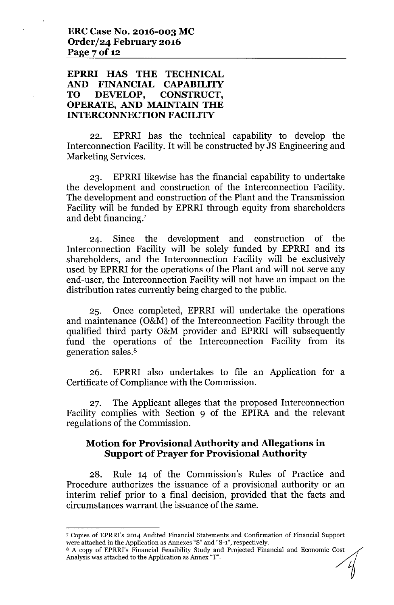## **EPRRI HAS THE TECHNICAL AND FINANCIAL CAPABILITY TO DEVELOP, CONSTRUCT, OPERATE, AND MAINTAIN THE INTERCONNECTION FACILITY**

22. EPRRI has the technical capability to develop the Interconnection Facility. It will be constructed by JS Engineering and Marketing Services.

23. EPRRI likewise has the financial capability to undertake the development and construction of the Interconnection Facility. The development and construction of the Plant and the Transmission Facility will be funded by EPRRI through equity from shareholders and debt financing.'

24. Since the development and construction of the Interconnection Facility will be solely funded by EPRRI and its shareholders, and the Interconnection Facility will be exclusively used by EPRRI for the operations of the Plant and will not serve any end-user, the Interconnection Facility will not have an impact on the distribution rates currently being charged to the public.

25. Once completed, EPRRI will undertake the operations and maintenance (O&M) of the Interconnection Facility through the qualified third party O&M provider and EPRRI will subsequently fund the operations of the Interconnection Facility from its generation sales.<sup>8</sup>

26. EPRRI also undertakes to file an Application for a Certificate of Compliance with the Commission.

27. The Applicant alleges that the proposed Interconnection Facility complies with Section 9 of the EPIRA and the relevant regulations of the Commission.

## **Motion for Provisional Authority and Allegations in Support of Prayer for Provisional Authority**

28. Rule 14 of the Commission's Rules of Practice and Procedure authorizes the issuance of a provisional authority or an interim relief prior to a final decision, provided that the facts and circumstances warrant the issuance of the same.

<sup>7</sup> Copies of EPRRI's 2014 Audited Financial Statements and Confirmation of Financial Support were attached in the Application as Annexes "S" and "S-1", respectively.

<sup>&</sup>lt;sup>8</sup> A copy of EPRRI's Financial Feasibility Study and Projected Financial and Economic Cost Analysis was attached to the Application as Annex "T".  $\overline{\phantom{a}}$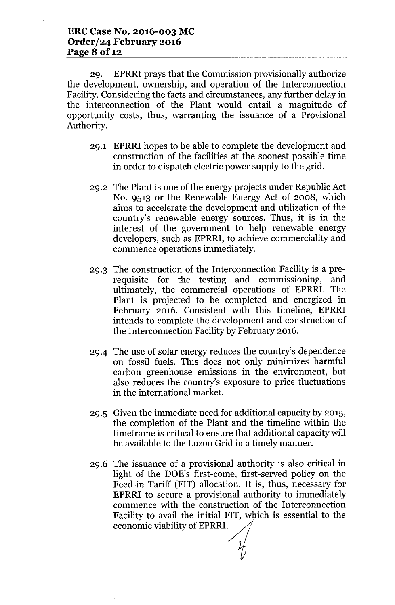29. EPRRI prays that the Commission provisionally authorize the development, ownership, and operation of the Interconnection Facility. Considering the facts and circumstances, any further delay in the interconnection of the Plant would entail a magnitude of opportunity costs, thus, warranting the issuance of a Provisional Authority.

- 29.1 EPRRI hopes to be able to complete the development and construction of the facilities at the soonest possible time in order to dispatch electric power supply to the grid.
- 29.2 The Plant is one of the energy projects under Republic Act No. 9513 or the Renewable Energy Act of 2008, which aims to accelerate the development and utilization of the country's renewable energy sources. Thus, it is in the interest of the government to help renewable energy developers, such as EPRRI, to achieve commerciality and commence operations immediately.
- 29.3 The construction of the Interconnection Facility is a prerequisite for the testing and commissioning, and ultimately, the commercial operations of EPRRI. The Plant is projected to be completed and energized in February 2016. Consistent with this timeline, EPRRI intends to complete the development and construction of the Interconnection Facility by February 2016.
- 294 The use of solar energy reduces the country's dependence on fossil fuels. This does not only minimizes harmful carbon greenhouse emissions in the environment, but also reduces the country's exposure to price fluctuations in the international market.
- 29.5 Given the immediate need for additional capacity by 2015, the completion of the Plant and the timeline within the timeframe is critical to ensure that additional capacity will be available to the Luzon Grid in a timely manner.
- 29.6 The issuance of a provisional authority is also critical in light of the DOE's first-come, first-served policy on the Feed-in Tariff (FIT) allocation. It is, thus, necessary for EPRRI to secure a provisional authority to immediately commence with the construction of the Interconnection Facility to avail the initial FIT, which is essential to the economic viability of EPRRI.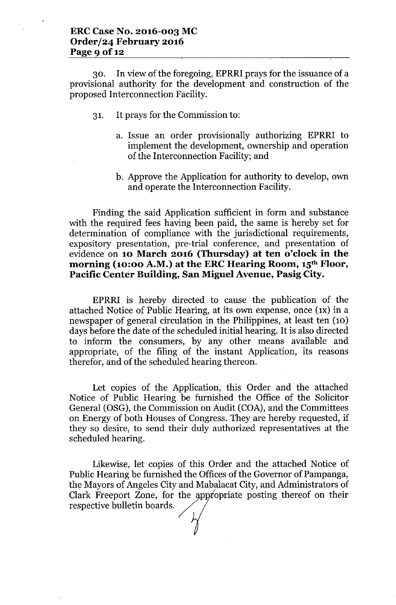30. In view of the foregoing, EPRRI prays for the issuance of a provisional authority for the development and construction of the proposed Interconnection Facility.

- 31. It prays for the Commission to:
	- a. Issue an order provisionally authorizing EPRRI to implement the development, ownership and operation of the Interconnection Facility; and
	- b. Approve the Application for authority to develop, own and operate the Interconnection Facility.

Finding the said Application sufficient in form and substance with the required fees having been paid, the same is hereby set for determination of compliance with the jurisdictional requirements, expository presentation, pre-trial conference, and presentation of evidence on **10 March 2016 (Thursday) at ten o'clock in the morning (10:00 A.M.) at the ERC Hearing Room, 15th Floor, Pacific Center Building, San Miguel Avenue, Pasig City.**

EPRRI is hereby directed to cause the publication of the attached Notice of Public Hearing, at its own expense, once (IX) in a newspaper of general circulation in the Philippines, at least ten (10) days before the date of the scheduled initial hearing. It is also directed to inform the consumers, by any other means available and appropriate, of the filing of the instant Application, its reasons therefor, and of the scheduled hearing thereon.

Let copies of the Application, this Order and the attached Notice of Public Hearing be furnished the Office of the Solicitor General (OSG), the Commission on Audit (COA), and the Committees on Energy of both Houses of Congress. They are hereby requested, if they so desire, to send their duly authorized representatives at the scheduled hearing.

Likewise, let copies of this Order and the attached Notice of Public Hearing be furnished the Offices of the Governor of Pampanga, the Mayors of Angeles City and Mabalacat City, and Administrators of Clark Freeport Zone, for the appropriate posting thereof on their Likewise, let copies of this<br>Public Hearing be furnished the Of<br>the Mayors of Angeles City and Ma<br>Clark Freeport Zone, for the app<br>respective bulletin boards.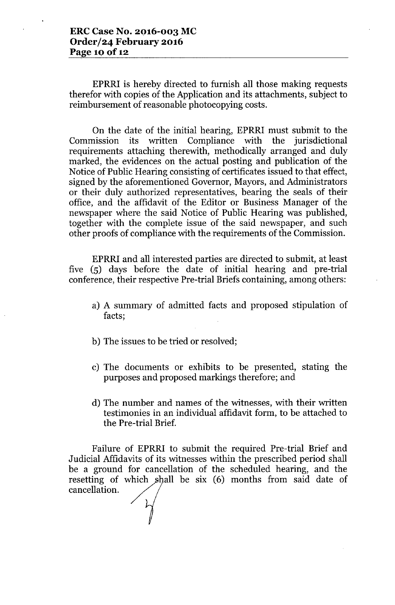EPRRI is hereby directed to furnish all those making requests therefor with copies of the Application and its attachments, subject to reimbursement of reasonable photocopying costs.

On the date of the initial hearing, EPRRI must submit to the Commission its written Compliance with the jurisdictional requirements attaching therewith, methodically arranged and duly marked, the evidences on the actual posting and publication of the Notice of Public Hearing consisting of certificates issued to that effect, signed by the aforementioned Governor, Mayors, and Administrators or their duly authorized representatives, bearing the seals of their office, and the affidavit of the Editor or Business Manager of the newspaper where the said Notice of Public Hearing was published, together with the complete issue of the said newspaper, and such other proofs of compliance with the requirements of the Commission.

EPRRI and all interested parties are directed to submit, at least five (5) days before the date of initial hearing and pre-trial conference, their respective Pre-trial Briefs containing, among others:

- a) A summary of admitted facts and proposed stipulation of facts;
- b) The issues to be tried or resolved;
- c) The documents or exhibits to be presented, stating the purposes and proposed markings therefore; and
- d) The number and names of the witnesses, with their written testimonies in an individual affidavit form, to be attached to the Pre-trial Brief.

Failure of EPRRI to submit the required Pre-trial Brief and Judicial Affidavits of its witnesses within the prescribed period shall be a ground for cancellation of the scheduled hearing, and the resetting of which shall be six (6) months from said date of cancellation.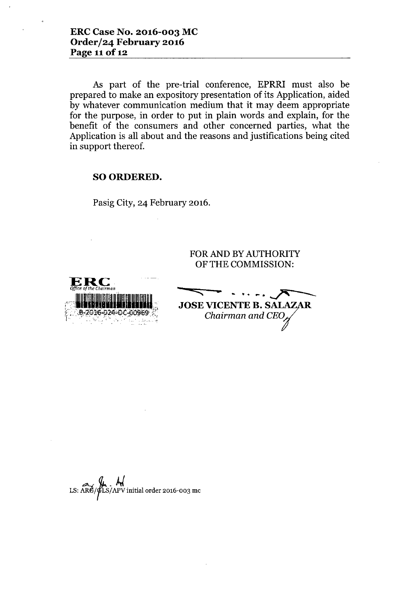As part of the pre-trial conference, EPRRI must also be prepared to make an expository presentation of its Application, aided by whatever communication medium that it may deem appropriate for the purpose, in order to put in plain words and explain, for the benefit of the consumers and other concerned parties, what the Application is all about and the reasons and justifications being cited in support thereof.

### SOORDERED.

Pasig City, 24 February 2016.

FOR AND BY AUTHORITY OF THE COMMISSION:

**-** --"' **•.** .~.~.. -.-/'-- <sup>~</sup> JOSE VICENTE B. SALAZAR *Chairman and CEO* 

LS:  $\widetilde{\text{AR}}$ / $\widetilde{\text{PLS}}$ /APV initial order 2016-003 me